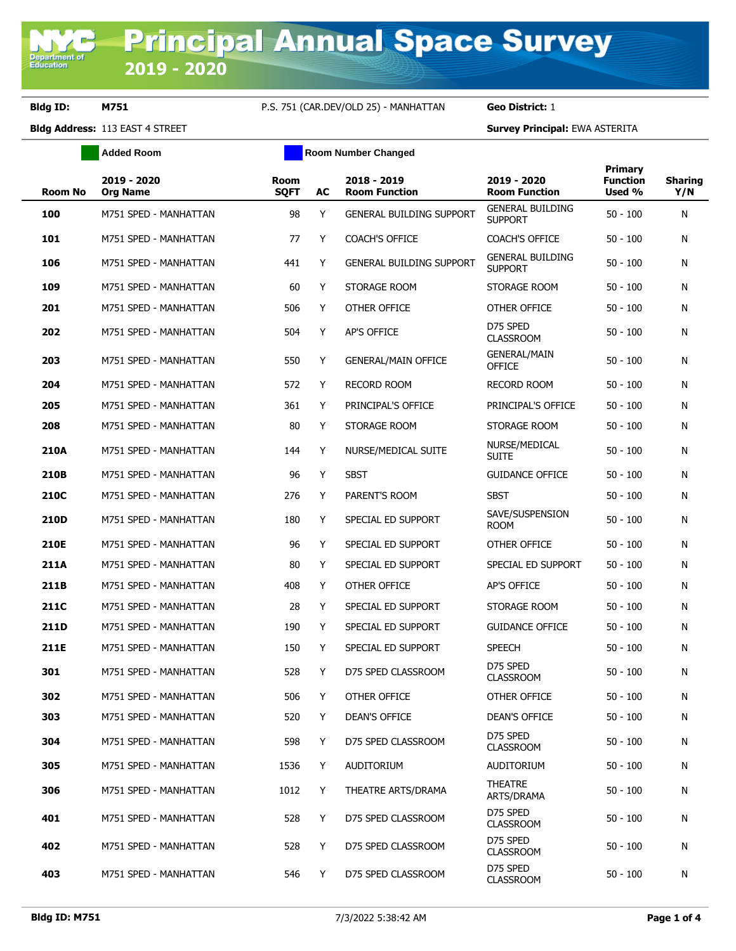Department (<br>Education

## **Bldg ID: M751** P.S. 751 (CAR.DEV/OLD 25) - MANHATTAN **Geo District:** 1

**Added Room Room Room Number Changed** 

**Bldg Address:** 113 EAST 4 STREET **Survey Principal:** EWA ASTERITA

|                |                                |                            |    |                                     |                                           | Primary                   |                       |
|----------------|--------------------------------|----------------------------|----|-------------------------------------|-------------------------------------------|---------------------------|-----------------------|
| <b>Room No</b> | 2019 - 2020<br><b>Org Name</b> | <b>Room</b><br><b>SQFT</b> | AC | 2018 - 2019<br><b>Room Function</b> | 2019 - 2020<br><b>Room Function</b>       | <b>Function</b><br>Used % | <b>Sharing</b><br>Y/N |
| 100            | M751 SPED - MANHATTAN          | 98                         | Y  | <b>GENERAL BUILDING SUPPORT</b>     | <b>GENERAL BUILDING</b><br><b>SUPPORT</b> | $50 - 100$                | N                     |
| 101            | M751 SPED - MANHATTAN          | 77                         | Y  | <b>COACH'S OFFICE</b>               | <b>COACH'S OFFICE</b>                     | $50 - 100$                | N                     |
| 106            | M751 SPED - MANHATTAN          | 441                        | Y  | <b>GENERAL BUILDING SUPPORT</b>     | <b>GENERAL BUILDING</b><br><b>SUPPORT</b> | $50 - 100$                | N                     |
| 109            | M751 SPED - MANHATTAN          | 60                         | Y  | STORAGE ROOM                        | STORAGE ROOM                              | $50 - 100$                | N                     |
| 201            | M751 SPED - MANHATTAN          | 506                        | Y  | OTHER OFFICE                        | OTHER OFFICE                              | $50 - 100$                | N                     |
| 202            | M751 SPED - MANHATTAN          | 504                        | Y  | <b>AP'S OFFICE</b>                  | D75 SPED<br><b>CLASSROOM</b>              | $50 - 100$                | N                     |
| 203            | M751 SPED - MANHATTAN          | 550                        | Y  | <b>GENERAL/MAIN OFFICE</b>          | <b>GENERAL/MAIN</b><br><b>OFFICE</b>      | $50 - 100$                | N                     |
| 204            | M751 SPED - MANHATTAN          | 572                        | Y  | RECORD ROOM                         | <b>RECORD ROOM</b>                        | $50 - 100$                | N                     |
| 205            | M751 SPED - MANHATTAN          | 361                        | Y  | PRINCIPAL'S OFFICE                  | PRINCIPAL'S OFFICE                        | $50 - 100$                | N                     |
| 208            | M751 SPED - MANHATTAN          | 80                         | Y  | STORAGE ROOM                        | STORAGE ROOM                              | $50 - 100$                | N                     |
| 210A           | M751 SPED - MANHATTAN          | 144                        | Y  | NURSE/MEDICAL SUITE                 | NURSE/MEDICAL<br><b>SUITE</b>             | $50 - 100$                | N                     |
| 210B           | M751 SPED - MANHATTAN          | 96                         | Y  | <b>SBST</b>                         | <b>GUIDANCE OFFICE</b>                    | $50 - 100$                | N                     |
| <b>210C</b>    | M751 SPED - MANHATTAN          | 276                        | Y  | PARENT'S ROOM                       | <b>SBST</b>                               | $50 - 100$                | N                     |
| 210D           | M751 SPED - MANHATTAN          | 180                        | Y  | SPECIAL ED SUPPORT                  | SAVE/SUSPENSION<br><b>ROOM</b>            | $50 - 100$                | N                     |
| <b>210E</b>    | M751 SPED - MANHATTAN          | 96                         | Y  | SPECIAL ED SUPPORT                  | OTHER OFFICE                              | $50 - 100$                | N                     |
| 211A           | M751 SPED - MANHATTAN          | 80                         | Y  | SPECIAL ED SUPPORT                  | SPECIAL ED SUPPORT                        | $50 - 100$                | N                     |
| 211B           | M751 SPED - MANHATTAN          | 408                        | Y  | OTHER OFFICE                        | AP'S OFFICE                               | $50 - 100$                | N                     |
| 211C           | M751 SPED - MANHATTAN          | 28                         | Y  | SPECIAL ED SUPPORT                  | STORAGE ROOM                              | $50 - 100$                | N                     |
| 211D           | M751 SPED - MANHATTAN          | 190                        | Y  | SPECIAL ED SUPPORT                  | <b>GUIDANCE OFFICE</b>                    | $50 - 100$                | N                     |
| 211E           | M751 SPED - MANHATTAN          | 150                        | Y  | SPECIAL ED SUPPORT                  | <b>SPEECH</b>                             | $50 - 100$                | N                     |
| 301            | M751 SPED - MANHATTAN          | 528                        | Y  | D75 SPED CLASSROOM                  | D75 SPED<br><b>CLASSROOM</b>              | $50 - 100$                | N                     |
| 302            | M751 SPED - MANHATTAN          | 506                        | Y  | OTHER OFFICE                        | OTHER OFFICE                              | $50 - 100$                | N                     |
| 303            | M751 SPED - MANHATTAN          | 520                        | Y  | DEAN'S OFFICE                       | <b>DEAN'S OFFICE</b>                      | $50 - 100$                | N                     |
| 304            | M751 SPED - MANHATTAN          | 598                        | Y  | D75 SPED CLASSROOM                  | D75 SPED<br><b>CLASSROOM</b>              | $50 - 100$                | N                     |
| 305            | M751 SPED - MANHATTAN          | 1536                       | Y  | AUDITORIUM                          | <b>AUDITORIUM</b>                         | $50 - 100$                | N                     |
| 306            | M751 SPED - MANHATTAN          | 1012                       | Y  | THEATRE ARTS/DRAMA                  | <b>THEATRE</b><br>ARTS/DRAMA              | $50 - 100$                | N                     |
| 401            | M751 SPED - MANHATTAN          | 528                        | Y  | D75 SPED CLASSROOM                  | D75 SPED<br><b>CLASSROOM</b>              | $50 - 100$                | N                     |
| 402            | M751 SPED - MANHATTAN          | 528                        | Y  | D75 SPED CLASSROOM                  | D75 SPED<br><b>CLASSROOM</b>              | $50 - 100$                | N                     |
| 403            | M751 SPED - MANHATTAN          | 546                        | Y  | D75 SPED CLASSROOM                  | D75 SPED<br><b>CLASSROOM</b>              | $50 - 100$                | N                     |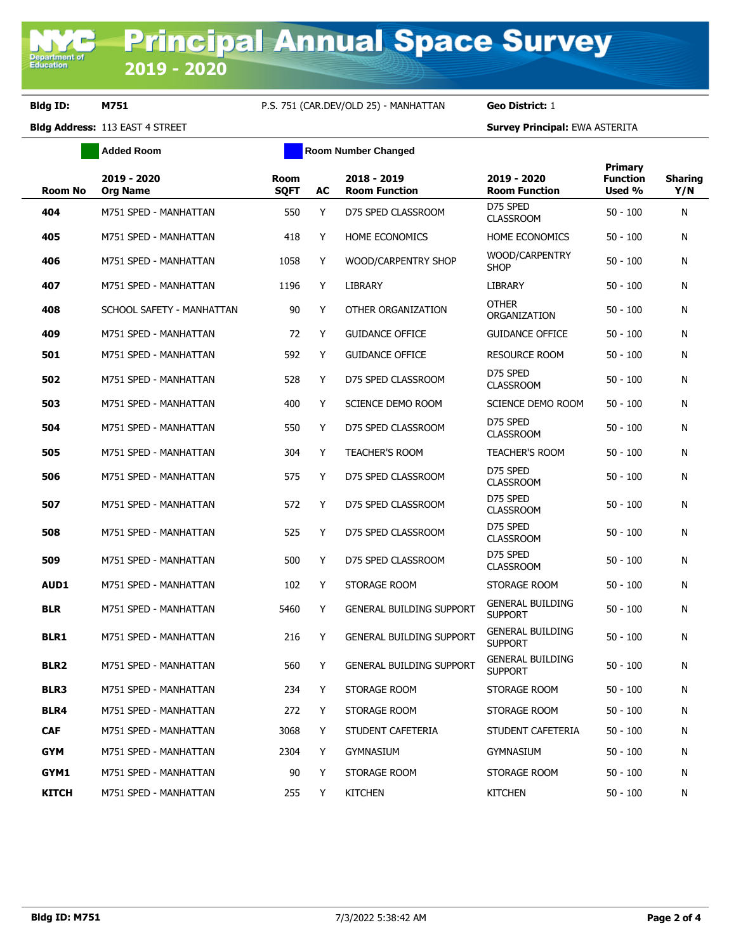## **Bldg ID: M751** P.S. 751 (CAR.DEV/OLD 25) - MANHATTAN **Geo District:** 1

**Bldg Address:** 113 EAST 4 STREET **Survey Principal:** EWA ASTERITA

|                | <b>Added Room</b>              |                     |    | <b>Room Number Changed</b>          |                                           |                                             |                       |
|----------------|--------------------------------|---------------------|----|-------------------------------------|-------------------------------------------|---------------------------------------------|-----------------------|
| <b>Room No</b> | 2019 - 2020<br><b>Org Name</b> | Room<br><b>SQFT</b> | AC | 2018 - 2019<br><b>Room Function</b> | 2019 - 2020<br><b>Room Function</b>       | <b>Primary</b><br><b>Function</b><br>Used % | <b>Sharing</b><br>Y/N |
| 404            | M751 SPED - MANHATTAN          | 550                 | Y  | D75 SPED CLASSROOM                  | D75 SPED<br><b>CLASSROOM</b>              | $50 - 100$                                  | N                     |
| 405            | M751 SPED - MANHATTAN          | 418                 | Y  | HOME ECONOMICS                      | <b>HOME ECONOMICS</b>                     | $50 - 100$                                  | N                     |
| 406            | M751 SPED - MANHATTAN          | 1058                | Y  | WOOD/CARPENTRY SHOP                 | WOOD/CARPENTRY<br><b>SHOP</b>             | $50 - 100$                                  | N                     |
| 407            | M751 SPED - MANHATTAN          | 1196                | Y  | LIBRARY                             | <b>LIBRARY</b>                            | $50 - 100$                                  | N                     |
| 408            | SCHOOL SAFETY - MANHATTAN      | 90                  | Y  | OTHER ORGANIZATION                  | <b>OTHER</b><br>ORGANIZATION              | $50 - 100$                                  | N                     |
| 409            | M751 SPED - MANHATTAN          | 72                  | Y  | <b>GUIDANCE OFFICE</b>              | <b>GUIDANCE OFFICE</b>                    | $50 - 100$                                  | N                     |
| 501            | M751 SPED - MANHATTAN          | 592                 | Y  | <b>GUIDANCE OFFICE</b>              | <b>RESOURCE ROOM</b>                      | $50 - 100$                                  | N                     |
| 502            | M751 SPED - MANHATTAN          | 528                 | Y  | D75 SPED CLASSROOM                  | D75 SPED<br><b>CLASSROOM</b>              | $50 - 100$                                  | N                     |
| 503            | M751 SPED - MANHATTAN          | 400                 | Y  | SCIENCE DEMO ROOM                   | SCIENCE DEMO ROOM                         | $50 - 100$                                  | N                     |
| 504            | M751 SPED - MANHATTAN          | 550                 | Y  | D75 SPED CLASSROOM                  | D75 SPED<br><b>CLASSROOM</b>              | $50 - 100$                                  | N                     |
| 505            | M751 SPED - MANHATTAN          | 304                 | Y  | <b>TEACHER'S ROOM</b>               | <b>TEACHER'S ROOM</b>                     | $50 - 100$                                  | N                     |
| 506            | M751 SPED - MANHATTAN          | 575                 | Y  | D75 SPED CLASSROOM                  | D75 SPED<br><b>CLASSROOM</b>              | $50 - 100$                                  | N                     |
| 507            | M751 SPED - MANHATTAN          | 572                 | Y  | D75 SPED CLASSROOM                  | D75 SPED<br><b>CLASSROOM</b>              | $50 - 100$                                  | N                     |
| 508            | M751 SPED - MANHATTAN          | 525                 | Y  | D75 SPED CLASSROOM                  | D75 SPED<br><b>CLASSROOM</b>              | $50 - 100$                                  | N                     |
| 509            | M751 SPED - MANHATTAN          | 500                 | Y  | D75 SPED CLASSROOM                  | D75 SPED<br><b>CLASSROOM</b>              | $50 - 100$                                  | N                     |
| AUD1           | M751 SPED - MANHATTAN          | 102                 | Y  | STORAGE ROOM                        | STORAGE ROOM                              | $50 - 100$                                  | N                     |
| <b>BLR</b>     | M751 SPED - MANHATTAN          | 5460                | Y  | <b>GENERAL BUILDING SUPPORT</b>     | <b>GENERAL BUILDING</b><br><b>SUPPORT</b> | $50 - 100$                                  | N                     |
| <b>BLR1</b>    | M751 SPED - MANHATTAN          | 216                 | Y  | <b>GENERAL BUILDING SUPPORT</b>     | <b>GENERAL BUILDING</b><br><b>SUPPORT</b> | $50 - 100$                                  | N                     |
| <b>BLR2</b>    | M751 SPED - MANHATTAN          | 560                 | Y  | <b>GENERAL BUILDING SUPPORT</b>     | <b>GENERAL BUILDING</b><br><b>SUPPORT</b> | $50 - 100$                                  | N                     |
| <b>BLR3</b>    | M751 SPED - MANHATTAN          | 234                 | Y  | STORAGE ROOM                        | STORAGE ROOM                              | $50 - 100$                                  | N                     |
| <b>BLR4</b>    | M751 SPED - MANHATTAN          | 272                 | Y  | STORAGE ROOM                        | STORAGE ROOM                              | $50 - 100$                                  | N                     |
| <b>CAF</b>     | M751 SPED - MANHATTAN          | 3068                | Y  | STUDENT CAFETERIA                   | STUDENT CAFETERIA                         | $50 - 100$                                  | N                     |
| <b>GYM</b>     | M751 SPED - MANHATTAN          | 2304                | Y  | gymnasium                           | <b>GYMNASIUM</b>                          | $50 - 100$                                  | N                     |
| GYM1           | M751 SPED - MANHATTAN          | 90                  | Y  | STORAGE ROOM                        | STORAGE ROOM                              | $50 - 100$                                  | N                     |
| <b>KITCH</b>   | M751 SPED - MANHATTAN          | 255                 | Y  | <b>KITCHEN</b>                      | <b>KITCHEN</b>                            | $50 - 100$                                  | N                     |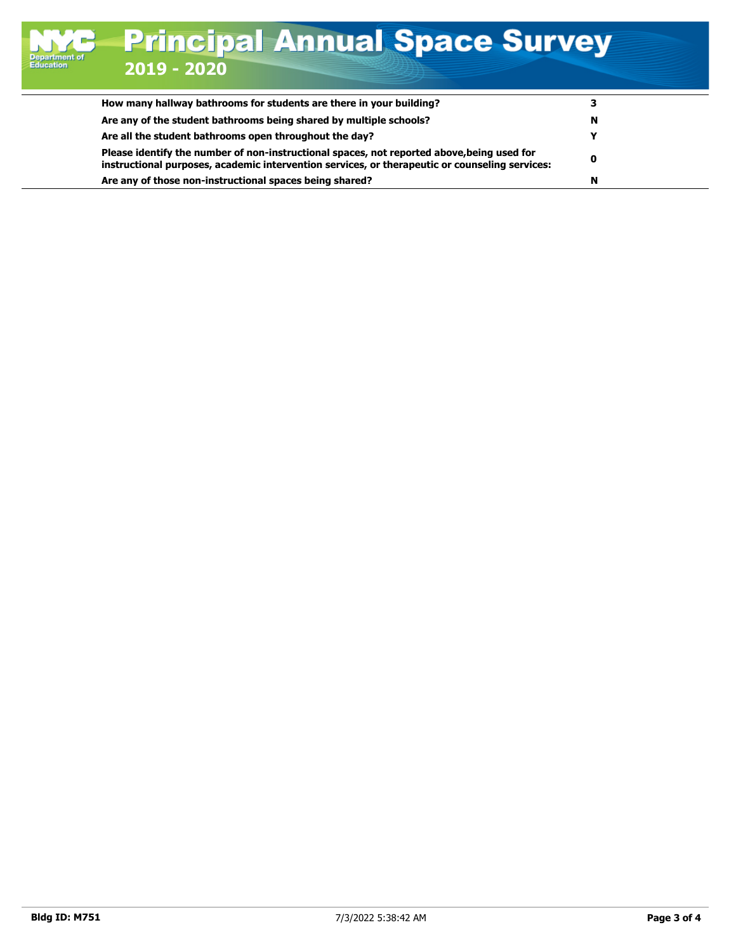| How many hallway bathrooms for students are there in your building?                                                                                                                          |   |  |
|----------------------------------------------------------------------------------------------------------------------------------------------------------------------------------------------|---|--|
| Are any of the student bathrooms being shared by multiple schools?                                                                                                                           | N |  |
| Are all the student bathrooms open throughout the day?                                                                                                                                       |   |  |
| Please identify the number of non-instructional spaces, not reported above, being used for<br>instructional purposes, academic intervention services, or therapeutic or counseling services: | 0 |  |
| Are any of those non-instructional spaces being shared?                                                                                                                                      | N |  |